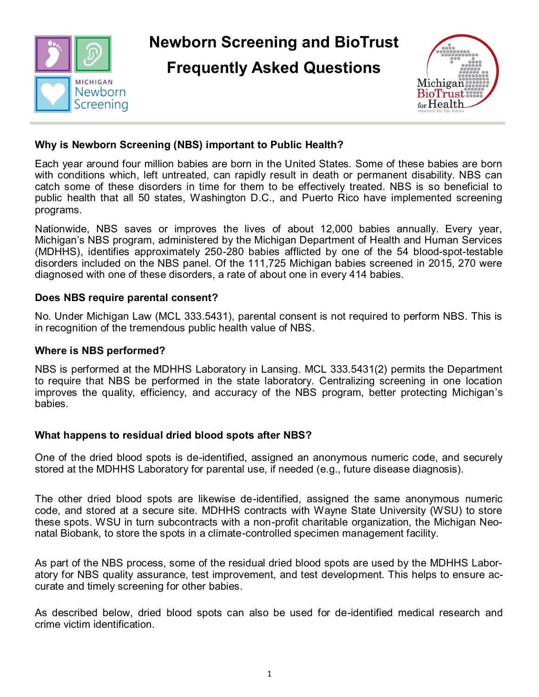

**Newborn Screening and BioTrust** 

**Frequently Asked Questions**



# **Why is Newborn Screening (NBS) important to Public Health?**

Each year around four million babies are born in the United States. Some of these babies are born with conditions which, left untreated, can rapidly result in death or permanent disability. NBS can catch some of these disorders in time for them to be effectively treated. NBS is so beneficial to public health that all 50 states, Washington D.C., and Puerto Rico have implemented screening programs.

Nationwide, NBS saves or improves the lives of about 12,000 babies annually. Every year, Michigan's NBS program, administered by the Michigan Department of Health and Human Services (MDHHS), identifies approximately 250-280 babies afflicted by one of the 54 blood-spot-testable disorders included on the NBS panel. Of the 111,725 Michigan babies screened in 2015, 270 were diagnosed with one of these disorders, a rate of about one in every 414 babies.

### **Does NBS require parental consent?**

No. Under Michigan Law (MCL 333.5431), parental consent is not required to perform NBS. This is in recognition of the tremendous public health value of NBS.

### **Where is NBS performed?**

NBS is performed at the MDHHS Laboratory in Lansing. MCL 333.5431(2) permits the Department to require that NBS be performed in the state laboratory. Centralizing screening in one location improves the quality, efficiency, and accuracy of the NBS program, better protecting Michigan's babies.

### **What happens to residual dried blood spots after NBS?**

One of the dried blood spots is de-identified, assigned an anonymous numeric code, and securely stored at the MDHHS Laboratory for parental use, if needed (e.g., future disease diagnosis).

The other dried blood spots are likewise de-identified, assigned the same anonymous numeric code, and stored at a secure site. MDHHS contracts with Wayne State University (WSU) to store these spots. WSU in turn subcontracts with a non-profit charitable organization, the Michigan Neonatal Biobank, to store the spots in a climate-controlled specimen management facility.

As part of the NBS process, some of the residual dried blood spots are used by the MDHHS Laboratory for NBS quality assurance, test improvement, and test development. This helps to ensure accurate and timely screening for other babies.

As described below, dried blood spots can also be used for de-identified medical research and crime victim identification.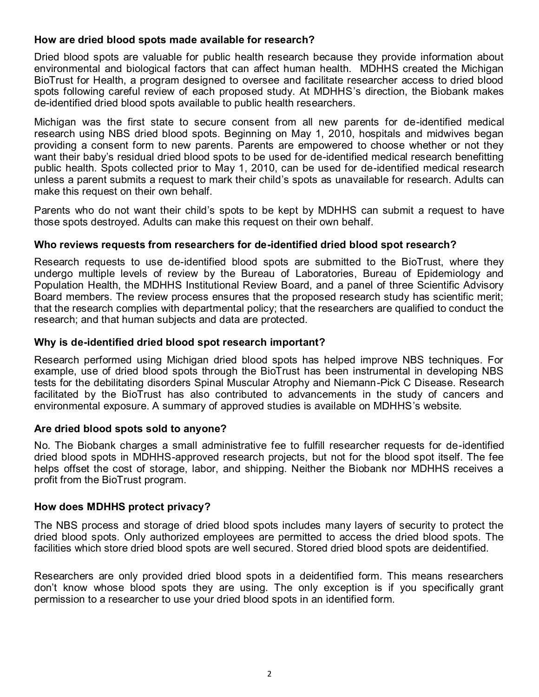## **How are dried blood spots made available for research?**

Dried blood spots are valuable for public health research because they provide information about environmental and biological factors that can affect human health. MDHHS created the Michigan BioTrust for Health, a program designed to oversee and facilitate researcher access to dried blood spots following careful review of each proposed study. At MDHHS's direction, the Biobank makes de-identified dried blood spots available to public health researchers.

Michigan was the first state to secure consent from all new parents for de-identified medical research using NBS dried blood spots. Beginning on May 1, 2010, hospitals and midwives began providing [a consent form t](https://www.michigan.gov/documents/mdch/Consent_Form_329391_7.pdf)o new parents. Parents are empowered to choose whether or not they want their baby's residual dried blood spots to be used for de-identified medical research benefitting public health. Spots collected prior to May 1, 2010, can be used for de-identified medical research unless a parent [submits a request t](http://michigan.gov/documents/mdhhs/MDHHS-5683_610453_7.dot)o mark their child's spots as unavailable for research. Adults can make this request on their own behalf.

Parents who do not want their child's spots to be kept by MDHHS can [submit a request t](http://michigan.gov/documents/mdhhs/MDHHS-5683_610453_7.dot)o have those spots destroyed. Adults can make this request on their own behalf.

### **Who reviews requests from researchers for de-identified dried blood spot research?**

Research requests to use de-identified blood spots are submitted to the BioTrust, where they undergo multiple levels of review by the Bureau of Laboratories, Bureau of Epidemiology and Population Health, the MDHHS Institutional Review Board, and a panel of three Scientific Advisory Board members. The review process ensures that the proposed research study has scientific merit; that the research complies with departmental policy; that the researchers are qualified to conduct the research; and that human subjects and data are protected.

### **Why is de-identified dried blood spot research important?**

Research performed using Michigan dried blood spots has helped improve NBS techniques. For example, use of dried blood spots through the BioTrust has been instrumental in developing NBS tests for the debilitating disorders Spinal Muscular Atrophy and Niemann-Pick C Disease. Research facilitated by the BioTrust has also contributed to advancements in the study of cancers and environmental exposure. A [summary o](http://www.michigan.gov/documents/mdch/Dried_Blood_Spot_Research_Table_Public_Report_347898_7.pdf)f approved studies is available on MDHHS's website.

### **Are dried blood spots sold to anyone?**

No. The Biobank charges a small administrative fee to fulfill researcher requests for de-identified dried blood spots in MDHHS-approved research projects, but not for the blood spot itself. The fee helps offset the cost of storage, labor, and shipping. Neither the Biobank nor MDHHS receives a profit from the BioTrust program.

### **How does MDHHS protect privacy?**

The NBS process and storage of dried blood spots includes many layers of security to protect the dried blood spots. Only authorized employees are permitted to access the dried blood spots. The facilities which store dried blood spots are well secured. Stored dried blood spots are deidentified.

Researchers are only provided dried blood spots in a deidentified form. This means researchers don't know whose blood spots they are using. The only exception is if you specifically grant permission to a researcher to use your dried blood spots in an identified form.